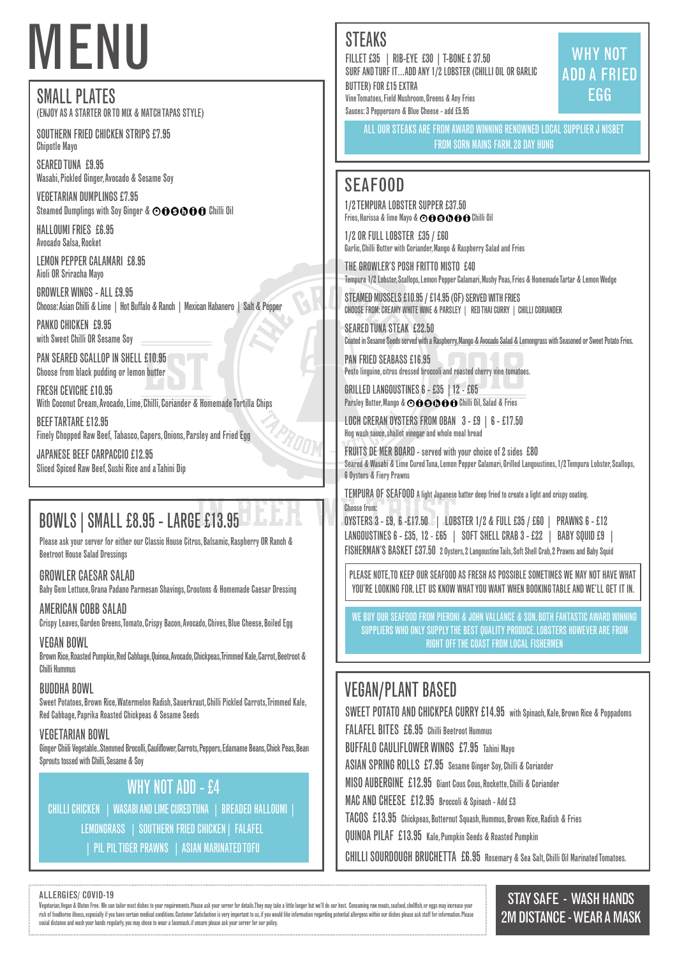# SMALL PLATES

(ENJOY AS A STARTER OR TO MIX & MATCH TAPAS STYLE)

VEGETARIAN DUMPLINGS £7.95 Steamed Dumplings with Soy Ginger &  $\odot$  OOOOO Chilli Oil

SOUTHERN FRIED CHICKEN STRIPS £7.95 Chipotle Mayo

SEARED TUNA £9.95 Wasabi, Pickled Ginger, Avocado & Sesame Soy

PANKO CHICKEN £9.95 with Sweet Chilli OR Sesame Soy

PAN SEARED SCALLOP IN SHELL £10.95 Choose from black pudding or lemon butter

HALLOUMI FRIES £6.95 Avocado Salsa, Rocket

LEMON PEPPER CALAMARI £8.95 Aioli OR Sriracha Mayo

GROWLER WINGS - ALL £9.95 Choose: Asian Chilli & Lime | Hot Buffalo & Ranch | Mexican Habanero | Salt & Pepper

1/2 TEMPURA LOBSTER SUPPER £37.50 Fries, Harissa & lime Mayo &  $\odot$  OOOOO Chilli Oil

FRESH CEVICHE £10.95 With Coconut Cream, Avocado, Lime, Chilli, Coriander & Homemade Tortilla Chips

BEEF TARTARE £12.95 Finely Chopped Raw Beef, Tabasco, Capers, Onions, Parsley and Fried Egg GRILLED LANGOUSTINES 6 - £35 |12 - £65 Parsley Butter, Mango &  $\odot$  o  $\odot$  o  $\odot$  o  $\odot$  for Chilli Oil, Salad & Fries

JAPANESE BEEF CARPACCIO £12.95 Sliced Spiced Raw Beef, Sushi Rice and a Tahini Dip

# VEGAN/PLANT BASED

SWEET POTATO AND CHICKPEA CURRY £14.95 with Spinach, Kale, Brown Rice & Poppadoms

STAY SAFE - WASH HANDS 2M DISTANCE - WEAR A MASK

# MENU

## SEAFOOD

1/2 OR FULL LOBSTER £35 / £60 Garlic, Chilli Butter with Coriander, Mango & Raspberry Salad and Fries

THE GROWLER'S POSH FRITTO MISTO £40 Tempura 1/2 Lobster, Scallops, Lemon Pepper Calamari, Mushy Peas, Fries & Homemade Tartar & Lemon Wedge

Vegetarian, Vegan & Bluten Free. We can tailor most dishes to your requirements. Please ask your server for details. They may take a little longer but we'll do our best. Consuming raw meats, seafood, shellfish, or eggs may risk of foodborne illness, especially if you have certain medical conditions. Customer Satisfaction is very important to us, if you would like information regarding potential allergens within our dishes please ask staff fo social distance and wash your hands regularly. you may chose to wear a facemask. if unsure please ask your server for our policy.

STEAMED MUSSELS £10.95 / £14.95 (GF) SERVED WITH FRIES CHOOSE FROM: CREAMY WHITE WINE & PARSLEY | RED THAI CURRY | CHILLI CORIANDER

SEARED TUNA STEAK £22.50 Coated in Sesame Seeds served with a Raspberry, Mango & Avocado Salad & Lemongrass with Seasoned or Sweet Potato Fries.

PAN FRIED SEABASS £16.95 Pesto linguine, citrus dressed broccoli and roasted cherry vine tomatoes.

LOCH CRERAN OYSTERS FROM OBAN 3 - £9 | 6 - £17.50 Hog wash sauce, shallot vinegar and whole meal bread

FRUITS DE MER BOARD - served with your choice of 2 sides £80 Seared & Wasabi & Lime Cured Tuna, Lemon Pepper Calamari, Grilled Langoustines, 1/2 Tempura Lobster, Scallops, 6 Oysters & Fiery Prawns

ALLERGIES/ COVID-19

WHY NOT ADD - £4 CHILLI CHICKEN | WASABI AND LIME CURED TUNA | BREADED HALLOUMI | LEMONGRASS | SOUTHERN FRIED CHICKEN| FALAFEL | PIL PIL TIGER PRAWNS | ASIAN MARINATED TOFU

TEMPURA OF SEAFOOD A light Japanese batter deep fried to create a light and crispy coating. Choose from: **TITHUT** 

WE BUY OUR SEAFOOD FROM PIERONI & JOHN VALLANCE & SON. BOTH FANTASTIC AWARD WINNING SUPPLIERS WHO ONLY SUPPLY THE BEST QUALITY PRODUCE. LOBSTERS HOWEVER ARE FROM RIGHT OFF THE COAST FROM LOCAL FISHERMEN

FILLET £35 | RIB-EYE £30 | T-BONE £ 37.50 SURF AND TURF IT…ADD ANY 1/2 LOBSTER (CHILLI OIL OR GARLIC BUTTER) FOR £15 EXTRA Vine Tomatoes, Field Mushroom, Greens & Any Fries Sauces: 3 Peppercorn & Blue Cheese - add £5.95

WHY NOT ADD A FRIED EGG

ALL OUR STEAKS ARE FROM AWARD WINNING RENOWNED LOCAL SUPPLIER J NISBET FROM SORN MAINS FARM. 28 DAY HUNG

PLEASE NOTE, TO KEEP OUR SEAFOOD AS FRESH AS POSSIBLE SOMETIMES WE MAY NOT HAVE WHAT YOU'RE LOOKING FOR. LET US KNOW WHAT YOU WANT WHEN BOOKING TABLE AND WE'LL GET IT IN.

# BOWLS|SMALL £8.95 - LARGE £13.95

Please ask your server for either our Classic House Citrus, Balsamic, Raspberry OR Ranch & Beetroot House Salad Dressings

### GROWLER CAESAR SALAD

Baby Gem Lettuce, Grana Padano Parmesan Shavings, Croutons & Homemade Caesar Dressing

### AMERICAN COBB SALAD

Crispy Leaves, Garden Greens, Tomato, Crispy Bacon, Avocado, Chives, Blue Cheese, Boiled Egg

### VEGAN BOWL

Brown Rice, Roasted Pumpkin, Red Cabbage, Quinoa, Avocado, Chickpeas, Trimmed Kale, Carrot, Beetroot & Chilli Hummus

### BUDDHA BOWL

Sweet Potatoes, Brown Rice, Watermelon Radish, Sauerkraut, Chilli Pickled Carrots, Trimmed Kale, Red Cabbage, Paprika Roasted Chickpeas & Sesame Seeds

# **STEAKS**

### VEGETARIAN BOWL

Ginger Chiili Vegetable..Stemmed Brocolli, Cauliflower, Carrots, Peppers, Edamame Beans, Chick Peas, Bean Sprouts tossed with Chilli, Sesame & Soy

FALAFEL BITES £6.95 Chilli Beetroot Hummus BUFFALO CAULIFLOWER WINGS £7.95 Tahini Mayo ASIAN SPRING ROLLS £7.95 Sesame Ginger Soy, Chilli & Coriander MISO AUBERGINE £12.95 Giant Cous Cous, Rockette, Chilli & Coriander MAC AND CHEESE £12.95 Broccoli & Spinach - Add £3 TACOS £13.95 Chickpeas, Butternut Squash, Hummus, Brown Rice, Radish & Fries QUINOA PILAF £13.95 Kale, Pumpkin Seeds & Roasted Pumpkin

CHILLI SOURDOUGH BRUCHETTA £6.95 Rosemary & Sea Salt, Chilli Oil Marinated Tomatoes.

| OYSTERS 3 - £9, 6 -£17.50 J   LOBSTER 1/2 & FULL £35 / £60   PRAWNS 6 - £12                        |  |  |
|----------------------------------------------------------------------------------------------------|--|--|
| LANGOUSTINES 6 - £35, 12 - £65       SOFT SHELL CRAB 3 - £22      BABY SQUID £9                    |  |  |
| FISHERMAN'S BASKET £37.50 2 Oysters, 2 Langoustine Tails, Soft Shell Crab, 2 Prawns and Baby Squid |  |  |